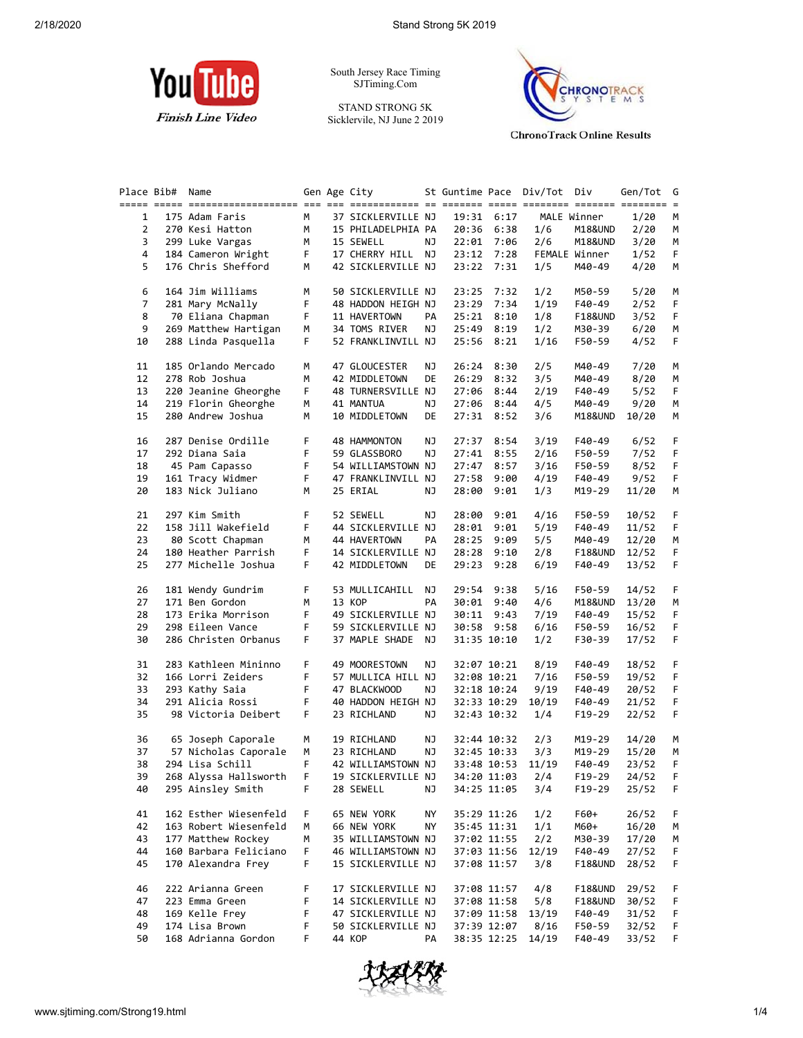

South Jersey Race Timing SJTiming.Com

STAND STRONG 5K Sicklervile, NJ June 2 2019



**ChronoTrack Online Results** 

| Place Bib#     | Name                    |                 | Gen Age City       |    |       |             | St Guntime Pace Div/Tot Div |               | Gen/Tot | G  |
|----------------|-------------------------|-----------------|--------------------|----|-------|-------------|-----------------------------|---------------|---------|----|
|                |                         |                 |                    |    |       |             |                             |               |         |    |
| $\mathbf{1}$   | 175 Adam Faris          | M               | 37 SICKLERVILLE NJ |    |       | 19:31 6:17  |                             | MALE Winner   | 1/20    | M  |
| $\overline{2}$ | 270 Kesi Hatton         | M               | 15 PHILADELPHIA PA |    |       | 20:36 6:38  | 1/6                         | M18&UND       | 2/20    | М  |
| 3              | 299 Luke Vargas         | M               | 15 SEWELL          | NJ |       | 22:01 7:06  | 2/6                         | M18&UND       | 3/20    | М  |
| 4              | 184 Cameron Wright      | F <sub>11</sub> | 17 CHERRY HILL NJ  |    |       | 23:12 7:28  |                             | FEMALE Winner | 1/52    | F. |
|                | 176 Chris Shefford      |                 |                    |    |       |             |                             |               |         |    |
| 5              |                         | м               | 42 SICKLERVILLE NJ |    |       | 23:22 7:31  | 1/5                         | M40-49        | 4/20    | М  |
| 6              | 164 Jim Williams        | М               | 50 SICKLERVILLE NJ |    |       | 23:25 7:32  | 1/2                         | M50-59        | 5/20    | М  |
| 7              |                         | F.              |                    |    |       |             |                             |               |         |    |
|                | 281 Mary McNally        |                 | 48 HADDON HEIGH NJ |    | 23:29 | 7:34        | 1/19                        | F40-49        | 2/52    | F  |
| 8              | 70 Eliana Chapman       | F.              | 11 HAVERTOWN       | PA | 25:21 | 8:10        | 1/8                         | F18&UND       | 3/52    | F  |
| 9              | 269 Matthew Hartigan    | М               | 34 TOMS RIVER      | ΝJ |       | 25:49 8:19  | 1/2                         | M30-39        | 6/20    | М  |
| 10             | 288 Linda Pasquella     | F.              | 52 FRANKLINVILL NJ |    |       | 25:56 8:21  | 1/16                        | F50-59        | 4/52    | F. |
| 11             | 185 Orlando Mercado     | м               | 47 GLOUCESTER      | ΝJ | 26:24 | 8:30        | 2/5                         | M40-49        | 7/20    | М  |
| 12             | 278 Rob Joshua          | М               | 42 MIDDLETOWN      | DE | 26:29 | 8:32        | 3/5                         | M40-49        | 8/20    | м  |
| 13             | 220 Jeanine Gheorghe    | F.              | 48 TURNERSVILLE NJ |    | 27:06 | 8:44        | 2/19                        | F40-49        | 5/52    | F. |
|                |                         |                 |                    |    |       |             |                             |               |         |    |
| 14             | 219 Florin Gheorghe     | М               | 41 MANTUA          | ΝJ |       | 27:06 8:44  | 4/5                         | M40-49        | 9/20    | М  |
| 15             | 280 Andrew Joshua       | М               | 10 MIDDLETOWN      | DE |       | 27:31 8:52  | 3/6                         | M18&UND       | 10/20   | М  |
| 16             | 287 Denise Ordille      | F.              | 48 HAMMONTON       | ΝJ |       | 27:37 8:54  | 3/19                        | F40-49        | 6/52    | F. |
| 17             | 292 Diana Saia          | F.              | 59 GLASSBORO       | ΝJ | 27:41 | 8:55        | 2/16                        | F50-59        | 7/52    | F  |
| 18             | 45 Pam Capasso          | F.              | 54 WILLIAMSTOWN NJ |    | 27:47 | 8:57        | 3/16                        | F50-59        | 8/52    | F  |
| 19             |                         | F.              |                    |    |       |             |                             |               |         | F. |
|                | 161 Tracy Widmer        |                 | 47 FRANKLINVILL NJ |    |       | 27:58 9:00  | 4/19                        | F40-49        | 9/52    |    |
| 20             | 183 Nick Juliano        | М               | 25 ERIAL           | ΝJ | 28:00 | 9:01        | 1/3                         | M19-29        | 11/20   | М  |
| 21             | 297 Kim Smith           | F.              | 52 SEWELL          | ΝJ | 28:00 | 9:01        | 4/16                        | F50-59        | 10/52   | F  |
| 22             | 158 Jill Wakefield      | F.              | 44 SICKLERVILLE NJ |    | 28:01 | 9:01        | 5/19                        | F40-49        | 11/52   | F. |
|                |                         |                 |                    |    |       |             |                             |               |         |    |
| 23             | 80 Scott Chapman        | М               | 44 HAVERTOWN       | PA | 28:25 | 9:09        | 5/5                         | M40-49        | 12/20   | М  |
| 24             | 180 Heather Parrish     | F.              | 14 SICKLERVILLE NJ |    |       | 28:28 9:10  | 2/8                         | F18&UND       | 12/52   | F  |
| 25             | 277 Michelle Joshua     | F.              | 42 MIDDLETOWN      | DE | 29:23 | 9:28        | 6/19                        | F40-49        | 13/52   | F. |
| 26             | 181 Wendy Gundrim       | F.              | 53 MULLICAHILL NJ  |    | 29:54 | 9:38        | 5/16                        | F50-59        | 14/52   | F. |
| 27             | 171 Ben Gordon          | м               | 13 KOP             | PA |       | 30:01 9:40  | 4/6                         | M18&UND       | 13/20   | М  |
| 28             | 173 Erika Morrison      | F.              | 49 SICKLERVILLE NJ |    |       | 30:11 9:43  | 7/19                        | F40-49        | 15/52   | F. |
|                |                         |                 |                    |    |       |             |                             |               |         |    |
| 29             | 298 Eileen Vance        | F.              | 59 SICKLERVILLE NJ |    |       | 30:58 9:58  | 6/16                        | F50-59        | 16/52   | F. |
| 30             | 286 Christen Orbanus    | F.              | 37 MAPLE SHADE NJ  |    |       | 31:35 10:10 | 1/2                         | F30-39        | 17/52   | F. |
| 31             | 283 Kathleen Mininno    | F               | 49 MOORESTOWN      | ΝJ |       | 32:07 10:21 | 8/19                        | F40-49        | 18/52   | F  |
| 32             | 166 Lorri Zeiders       | F               | 57 MULLICA HILL NJ |    |       | 32:08 10:21 | 7/16                        | F50-59        | 19/52   | F  |
|                |                         |                 |                    |    |       |             |                             |               |         |    |
| 33             | 293 Kathy Saia          | F               | 47 BLACKWOOD       | ΝJ |       | 32:18 10:24 | 9/19                        | F40-49        | 20/52   | F. |
| 34             | 291 Alicia Rossi        | F               | 40 HADDON HEIGH NJ |    |       | 32:33 10:29 | 10/19                       | F40-49        | 21/52   | F. |
| 35             | 98 Victoria Deibert     | F.              | 23 RICHLAND        | ΝJ |       | 32:43 10:32 | 1/4                         | F19-29        | 22/52   | F. |
| 36             | 65 Joseph Caporale      | М               | 19 RICHLAND        | ΝJ |       | 32:44 10:32 | 2/3                         | M19-29        | 14/20   | М  |
| 37             | 57 Nicholas Caporale    | М               | 23 RICHLAND        | ΝJ |       | 32:45 10:33 | 3/3                         | M19-29        | 15/20   | М  |
| 38             | 294 Lisa Schill         | F.              | 42 WILLIAMSTOWN NJ |    |       | 33:48 10:53 | 11/19                       | F40-49        | 23/52   | F. |
|                | 268 Alyssa Hallsworth F |                 |                    |    |       |             |                             |               |         |    |
| 39             |                         |                 | 19 SICKLERVILLE NJ |    |       |             | 34:20 11:03 2/4             | F19-29        | 24/52   | F. |
| 40             | 295 Ainsley Smith       | F.              | 28 SEWELL          | ΝJ |       | 34:25 11:05 | 3/4                         | F19-29        | 25/52   | F. |
| 41             | 162 Esther Wiesenfeld   | F.              | 65 NEW YORK        | ΝY |       | 35:29 11:26 | 1/2                         | F60+          | 26/52   | F. |
| 42             | 163 Robert Wiesenfeld   | м               | 66 NEW YORK        | NΥ |       | 35:45 11:31 | 1/1                         | M60+          | 16/20   | М  |
| 43             | 177 Matthew Rockey      | м               | 35 WILLIAMSTOWN NJ |    |       | 37:02 11:55 | 2/2                         | M30-39        | 17/20   | M  |
| 44             | 160 Barbara Feliciano   | F               | 46 WILLIAMSTOWN NJ |    |       | 37:03 11:56 | 12/19                       | F40-49        | 27/52   | F. |
| 45             | 170 Alexandra Frey      | F               | 15 SICKLERVILLE NJ |    |       | 37:08 11:57 | 3/8                         | F18&UND       | 28/52   | F. |
|                |                         |                 |                    |    |       |             |                             |               |         |    |
| 46             | 222 Arianna Green       | F               | 17 SICKLERVILLE NJ |    |       | 37:08 11:57 | 4/8                         | F18&UND       | 29/52   | F. |
| 47             | 223 Emma Green          | F               | 14 SICKLERVILLE NJ |    |       | 37:08 11:58 | 5/8                         | F18&UND       | 30/52   | F  |
| 48             | 169 Kelle Frey          | F               | 47 SICKLERVILLE NJ |    |       | 37:09 11:58 | 13/19                       | F40-49        | 31/52   | F  |
| 49             | 174 Lisa Brown          | F               | 50 SICKLERVILLE NJ |    |       | 37:39 12:07 | 8/16                        | F50-59        | 32/52   | F. |
| 50             | 168 Adrianna Gordon     | F               | 44 KOP             | PA |       | 38:35 12:25 | 14/19                       | F40-49        | 33/52   | F. |
|                |                         |                 |                    |    |       |             |                             |               |         |    |

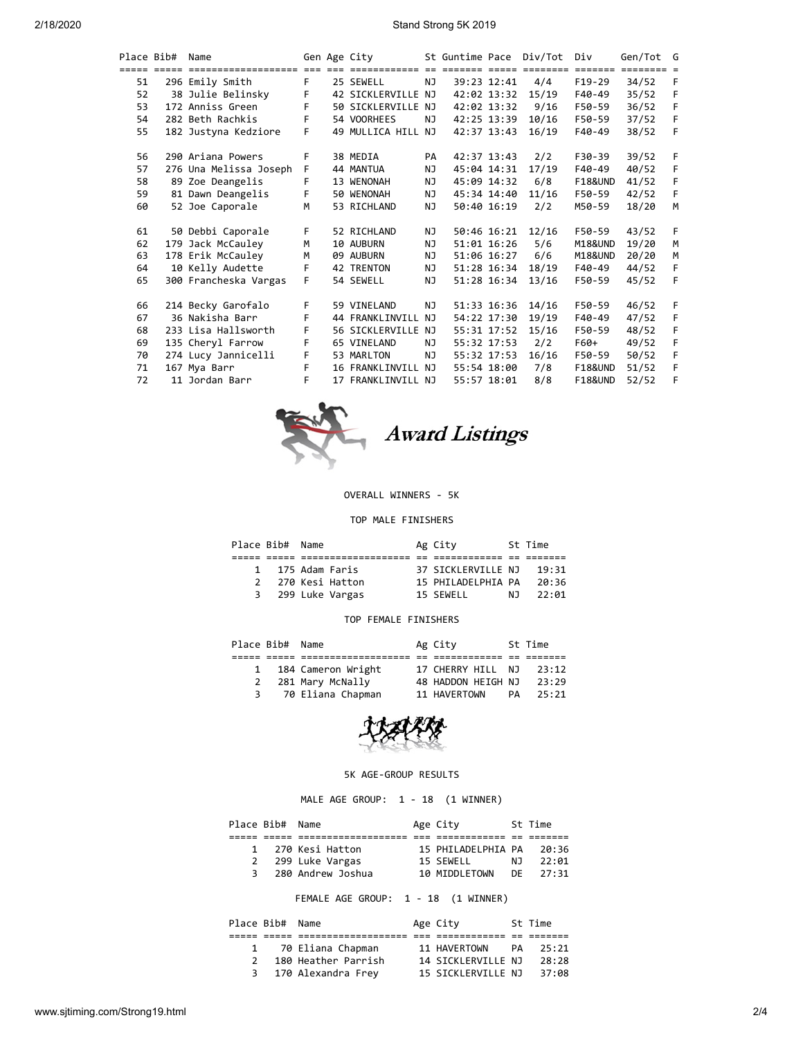| Place Bib#  | Name                   |    |                         | Gen Age City       |     | St Guntime Pace Div/Tot |             |          | Div                     | Gen/Tot  | G |
|-------------|------------------------|----|-------------------------|--------------------|-----|-------------------------|-------------|----------|-------------------------|----------|---|
| ===== ===== |                        |    | $=$ $=$ $=$ $=$ $=$ $=$ |                    |     |                         | ===== ===== | ======== | $=$ $=$ $=$ $=$ $=$ $=$ | ======== |   |
| 51          | 296 Emily Smith        | F. |                         | 25 SEWELL          | NJ  |                         | 39:23 12:41 | 4/4      | $F19-29$                | 34/52    | F |
| 52          | 38 Julie Belinsky      | F  |                         | 42 SICKLERVILLE NJ |     | 42:02 13:32             |             | 15/19    | $F40-49$                | 35/52    | F |
| 53          | 172 Anniss Green       | F  |                         | 50 SICKLERVILLE NJ |     | 42:02 13:32             |             | 9/16     | F50-59                  | 36/52    | F |
| 54          | 282 Beth Rachkis       | F  |                         | 54 VOORHEES        | NJ  | 42:25 13:39             |             | 10/16    | F50-59                  | 37/52    | F |
| 55          | 182 Justyna Kedziore   | F. |                         | 49 MULLICA HILL NJ |     | 42:37 13:43             |             | 16/19    | $F40-49$                | 38/52    | F |
| 56          | 290 Ariana Powers      | F  |                         | 38 MEDIA           | PA  | 42:37 13:43             |             | 2/2      | F30-39                  | 39/52    | F |
| 57          | 276 Una Melissa Joseph | F. |                         | 44 MANTUA          | NJ. | 45:04 14:31             |             | 17/19    | F40-49                  | 40/52    | F |
| 58          | 89 Zoe Deangelis       | F  |                         | 13 WENONAH         | NJ  | 45:09 14:32             |             | 6/8      | <b>F18&amp;UND</b>      | 41/52    | F |
| 59          | 81 Dawn Deangelis      | F. |                         | 50 WENONAH         | NJ  | 45:34 14:40             |             | 11/16    | F50-59                  | 42/52    | F |
| 60          | 52 Joe Caporale        | M  |                         | 53 RICHLAND        | NJ. |                         | 50:40 16:19 | 2/2      | M50-59                  | 18/20    | м |
| 61          | 50 Debbi Caporale      | F. |                         | 52 RICHLAND        | NJ  |                         | 50:46 16:21 | 12/16    | F50-59                  | 43/52    | F |
| 62          | 179 Jack McCauley      | M  |                         | 10 AUBURN          | NJ  |                         | 51:01 16:26 | 5/6      | M18&UND                 | 19/20    | M |
| 63          | 178 Erik McCauley      | M  |                         | 09 AUBURN          | NJ. |                         | 51:06 16:27 | 6/6      | M18&UND                 | 20/20    | M |
| 64          | 10 Kelly Audette       | F  |                         | <b>42 TRENTON</b>  | NJ  |                         | 51:28 16:34 | 18/19    | F40-49                  | 44/52    | F |
| 65          | 300 Francheska Vargas  | F. |                         | 54 SEWELL          | NJ  |                         | 51:28 16:34 | 13/16    | F50-59                  | 45/52    | F |
| 66          | 214 Becky Garofalo     | F  |                         | 59 VINELAND        | NJ. |                         | 51:33 16:36 | 14/16    | F50-59                  | 46/52    | F |
| 67          | 36 Nakisha Barr        | F  |                         | 44 FRANKLINVILL    | NJ  |                         | 54:22 17:30 | 19/19    | $F40-49$                | 47/52    | F |
| 68          | 233 Lisa Hallsworth    | F  |                         | 56 SICKLERVILLE NJ |     |                         | 55:31 17:52 | 15/16    | F50-59                  | 48/52    | F |
| 69          | 135 Cheryl Farrow      | F  |                         | 65 VINELAND        | NJ  | 55:32 17:53             |             | 2/2      | F60+                    | 49/52    | F |
| 70          | 274 Lucy Jannicelli    | F  |                         | 53 MARLTON         | NJ  |                         | 55:32 17:53 | 16/16    | F50-59                  | 50/52    | F |
| 71          | 167 Mya Barr           | F. |                         | 16 FRANKLINVILL NJ |     |                         | 55:54 18:00 | 7/8      | <b>F18&amp;UND</b>      | 51/52    | F |
| 72          | 11 Jordan Barr         | F. |                         | 17 FRANKLINVILL NJ |     |                         | 55:57 18:01 | 8/8      | <b>F18&amp;UND</b>      | 52/52    | F |



#### OVERALL WINNERS - 5K

### TOP MALE FINISHERS

| Place Bib# Name |                  |                 | Ag City            |    | St Time |  |
|-----------------|------------------|-----------------|--------------------|----|---------|--|
|                 |                  |                 |                    |    |         |  |
|                 | 1 175 Adam Faris |                 | 37 SICKLERVILLE NJ |    | 19:31   |  |
| $\mathcal{P}$   |                  | 270 Kesi Hatton | 15 PHILADELPHIA PA |    | 20:36   |  |
| 3               |                  | 299 Luke Vargas | 15 SEWELL          | N٦ | 22:01   |  |
|                 |                  |                 |                    |    |         |  |

### TOP FEMALE FINISHERS

|                    | St Time |
|--------------------|---------|
|                    |         |
| 17 CHERRY HILL NJ  | 23:12   |
| 48 HADDON HEIGH NJ | 23:29   |
| PA                 | 25:21   |
|                    |         |



### 5K AGE-GROUP RESULTS

## MALE AGE GROUP: 1 - 18 (1 WINNER)

| Place Bib# Name |                   | Age City               |     | St Time |
|-----------------|-------------------|------------------------|-----|---------|
|                 |                   |                        |     |         |
|                 | 1 270 Kesi Hatton | 15 PHILADELPHIA PA     |     | 20:36   |
| 2               | 299 Luke Vargas   | 15 SEWELL              | N J | 22:01   |
| 3               | 280 Andrew Joshua | 10 MIDDLETOWN DE 27:31 |     |         |

FEMALE AGE GROUP: 1 - 18 (1 WINNER)

|               | Place Bib# Name |                     | Age City           |    | St Time |
|---------------|-----------------|---------------------|--------------------|----|---------|
|               |                 |                     |                    |    |         |
|               |                 | 70 Eliana Chapman   | 11 HAVERTOWN       | PA | 25:21   |
| $\mathcal{P}$ |                 | 180 Heather Parrish | 14 SICKLERVILLE NJ |    | 28:28   |
| 3             |                 | 170 Alexandra Frey  | 15 SICKLERVILLE NJ |    | 37:08   |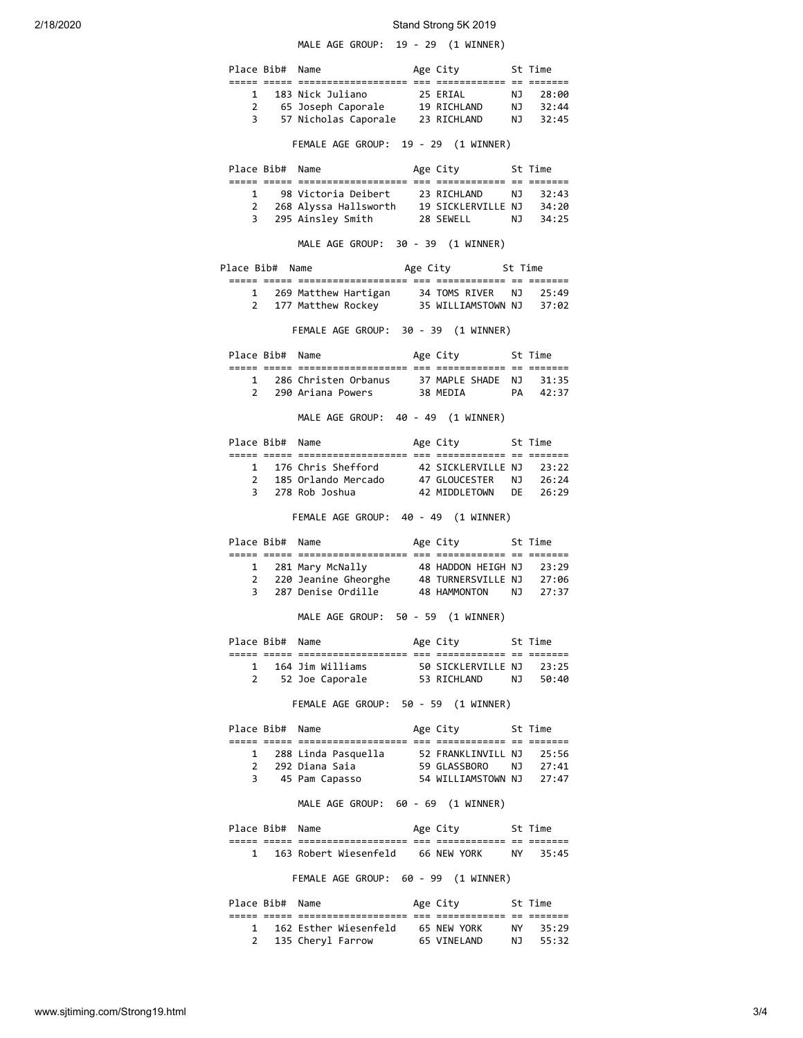# 2/18/2020 Stand Strong 5K 2019

MALE AGE GROUP: 19 - 29 (1 WINNER)

|            |                 | Place Bib# Name                                                                                                                          | Age City 5t Time         |         |
|------------|-----------------|------------------------------------------------------------------------------------------------------------------------------------------|--------------------------|---------|
|            |                 |                                                                                                                                          |                          |         |
|            |                 |                                                                                                                                          |                          |         |
|            |                 |                                                                                                                                          |                          |         |
|            |                 | FEMALE AGE GROUP: 19 - 29 (1 WINNER)                                                                                                     |                          |         |
|            |                 | Place Bib# Name                                                                                                                          | Age City 5t Time         |         |
|            |                 |                                                                                                                                          |                          |         |
|            |                 | 1 98 Victoria Deibert 23 RICHLAND NJ 32:43                                                                                               |                          |         |
|            |                 | 2 268 Alyssa Hallsworth 19 SICKLERVILLE NJ 34:20<br>3 295 Ainsley Smith 28 SEWELL NJ 34:25                                               |                          |         |
|            |                 | MALE AGE GROUP: 30 - 39 (1 WINNER)                                                                                                       |                          |         |
|            |                 | Place Bib# Name                                                                                                                          | Age City 5t Time         |         |
|            |                 |                                                                                                                                          |                          |         |
|            |                 | 1 269 Matthew Hartigan 34 TOMS RIVER NJ 25:49<br>2 177 Matthew Rockey 35 WILLIAMSTOWN NJ 37:02                                           |                          |         |
|            |                 |                                                                                                                                          |                          |         |
|            |                 | FEMALE AGE GROUP: 30 - 39 (1 WINNER)                                                                                                     |                          |         |
|            | Place Bib# Name |                                                                                                                                          | Age City 5t Time         |         |
|            |                 |                                                                                                                                          |                          |         |
|            |                 | 1 286 Christen Orbanus 37 MAPLE SHADE NJ 31:35<br>2 290 Ariana Powers 38 MEDIA PA 42:37                                                  |                          |         |
|            |                 |                                                                                                                                          |                          |         |
|            |                 | MALE AGE GROUP: 40 - 49 (1 WINNER)                                                                                                       |                          |         |
|            |                 | Place Bib# Name                                                                                                                          | Age City 5t Time         |         |
|            |                 |                                                                                                                                          |                          |         |
|            |                 | 1 176 Chris Shefford 12 SICKLERVILLE NJ 23:22<br>2 185 Orlando Mercado 17 GLOUCESTER NJ 26:24<br>3 278 Rob Joshua 12 MIDDLETOWN DE 26:29 |                          |         |
|            |                 |                                                                                                                                          |                          |         |
|            |                 | FEMALE AGE GROUP: 40 - 49 (1 WINNER)                                                                                                     |                          |         |
|            |                 |                                                                                                                                          |                          |         |
|            |                 | Place Bib# Name                                                                                                                          | Age City 5t Time         |         |
|            |                 |                                                                                                                                          |                          |         |
|            |                 | 1 281 Mary McNally                                                                                                                       | 48 HADDON HEIGH NJ 23:29 |         |
|            |                 | 2 220 Jeanine Gheorghe 48 TURNERSVILLE NJ 27:06<br>3 287 Denise Ordille                                                                  | 48 HAMMONTON NJ 27:37    |         |
|            |                 | MALE AGE GROUP: 50 - 59 (1 WINNER)                                                                                                       |                          |         |
|            |                 | Name                                                                                                                                     |                          |         |
| Place Bib# |                 |                                                                                                                                          | Age City                 | St Time |
|            |                 | 1 164 Jim Williams 50 SICKLERVILLE NJ 23:25                                                                                              |                          |         |
|            |                 | 2 52 Joe Caporale 53 RICHLAND NJ 50:40                                                                                                   |                          |         |
|            |                 | FEMALE AGE GROUP: 50 - 59 (1 WINNER)                                                                                                     |                          |         |
|            | Place Bib# Name |                                                                                                                                          | Age City 5t Time         |         |
|            |                 |                                                                                                                                          |                          |         |
|            |                 |                                                                                                                                          |                          |         |
|            |                 | 1 288 Linda Pasquella 52 FRANKLINVILL NJ 25:56<br>2 292 Diana Saia 59 GLASSBORO NJ 27:41<br>3 45 Pam Capasso 54 WILLIAMSTOWN NJ 27:47    |                          |         |
|            |                 | MALE AGE GROUP: 60 - 69 (1 WINNER)                                                                                                       |                          |         |
|            | Place Bib# Name |                                                                                                                                          | Age City 5t Time         |         |
|            |                 |                                                                                                                                          |                          |         |
|            |                 | 1 163 Robert Wiesenfeld 66 NEW YORK NY 35:45                                                                                             |                          |         |
|            |                 | FEMALE AGE GROUP: 60 - 99 (1 WINNER)                                                                                                     |                          |         |
|            | Place Bib# Name |                                                                                                                                          | Age City 5t Time         |         |
|            |                 |                                                                                                                                          |                          |         |
|            |                 | 1 162 Esther Wiesenfeld 65 NEW YORK NY 35:29<br>2 135 Cheryl Farrow 65 VINELAND NJ 55:32                                                 |                          |         |